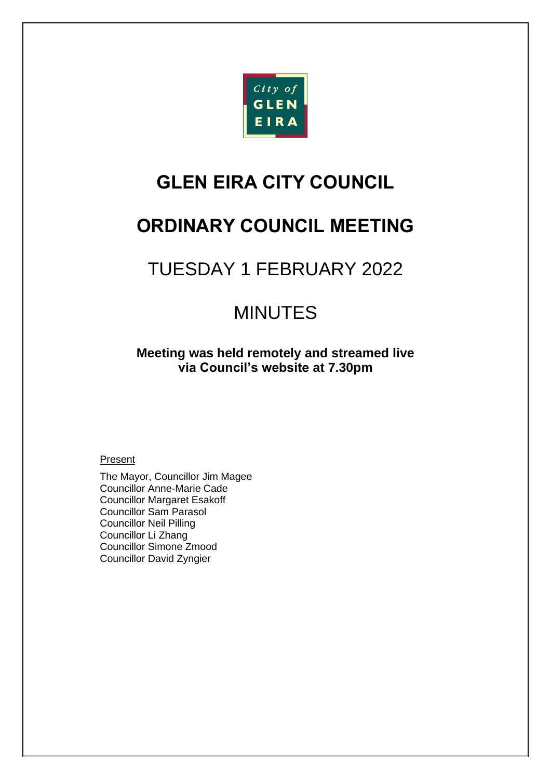

# **GLEN EIRA CITY COUNCIL**

# **ORDINARY COUNCIL MEETING**

# TUESDAY 1 FEBRUARY 2022

# MINUTES

**Meeting was held remotely and streamed live via Council's website at 7.30pm**

#### **Present**

The Mayor, Councillor Jim Magee Councillor Anne-Marie Cade Councillor Margaret Esakoff Councillor Sam Parasol Councillor Neil Pilling Councillor Li Zhang Councillor Simone Zmood Councillor David Zyngier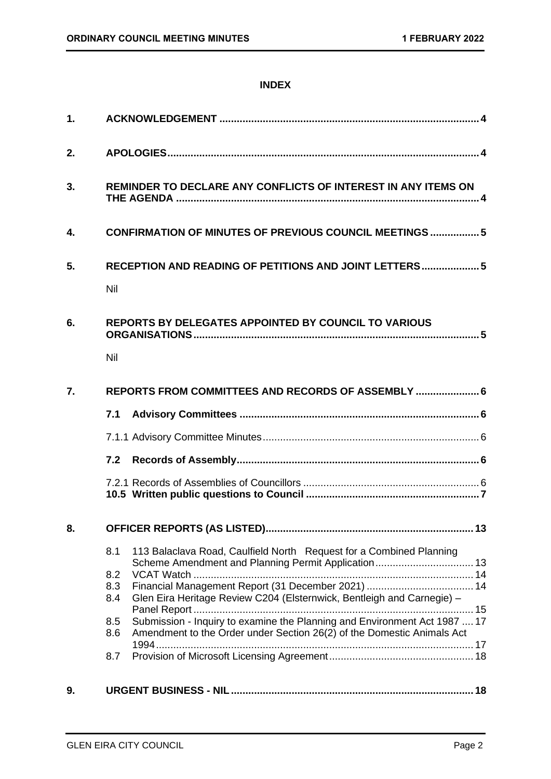### **INDEX**

| 1. |                                                                                                                                                                                                                                                                                                                                                       |  |  |
|----|-------------------------------------------------------------------------------------------------------------------------------------------------------------------------------------------------------------------------------------------------------------------------------------------------------------------------------------------------------|--|--|
| 2. |                                                                                                                                                                                                                                                                                                                                                       |  |  |
| 3. | REMINDER TO DECLARE ANY CONFLICTS OF INTEREST IN ANY ITEMS ON                                                                                                                                                                                                                                                                                         |  |  |
| 4. | <b>CONFIRMATION OF MINUTES OF PREVIOUS COUNCIL MEETINGS 5</b>                                                                                                                                                                                                                                                                                         |  |  |
| 5. | RECEPTION AND READING OF PETITIONS AND JOINT LETTERS 5<br>Nil                                                                                                                                                                                                                                                                                         |  |  |
| 6. | <b>REPORTS BY DELEGATES APPOINTED BY COUNCIL TO VARIOUS</b><br>Nil                                                                                                                                                                                                                                                                                    |  |  |
| 7. | REPORTS FROM COMMITTEES AND RECORDS OF ASSEMBLY  6                                                                                                                                                                                                                                                                                                    |  |  |
|    | 7.1                                                                                                                                                                                                                                                                                                                                                   |  |  |
|    |                                                                                                                                                                                                                                                                                                                                                       |  |  |
|    | 7.2                                                                                                                                                                                                                                                                                                                                                   |  |  |
|    |                                                                                                                                                                                                                                                                                                                                                       |  |  |
| 8. |                                                                                                                                                                                                                                                                                                                                                       |  |  |
|    | 113 Balaclava Road, Caulfield North Request for a Combined Planning<br>8.1<br>8.2<br>8.3<br>Glen Eira Heritage Review C204 (Elsternwick, Bentleigh and Carnegie) -<br>8.4<br>Submission - Inquiry to examine the Planning and Environment Act 1987  17<br>8.5<br>Amendment to the Order under Section 26(2) of the Domestic Animals Act<br>8.6<br>8.7 |  |  |
| 9. |                                                                                                                                                                                                                                                                                                                                                       |  |  |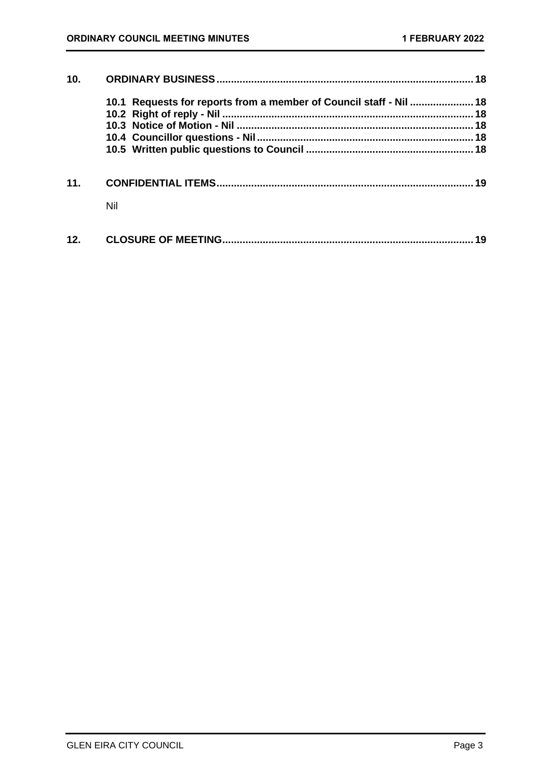| 10. |                                                                    |    |
|-----|--------------------------------------------------------------------|----|
|     | 10.1 Requests for reports from a member of Council staff - Nil  18 |    |
|     |                                                                    |    |
|     |                                                                    |    |
|     |                                                                    |    |
|     |                                                                    |    |
| 11  |                                                                    |    |
|     | Nil                                                                |    |
| 12. |                                                                    | 19 |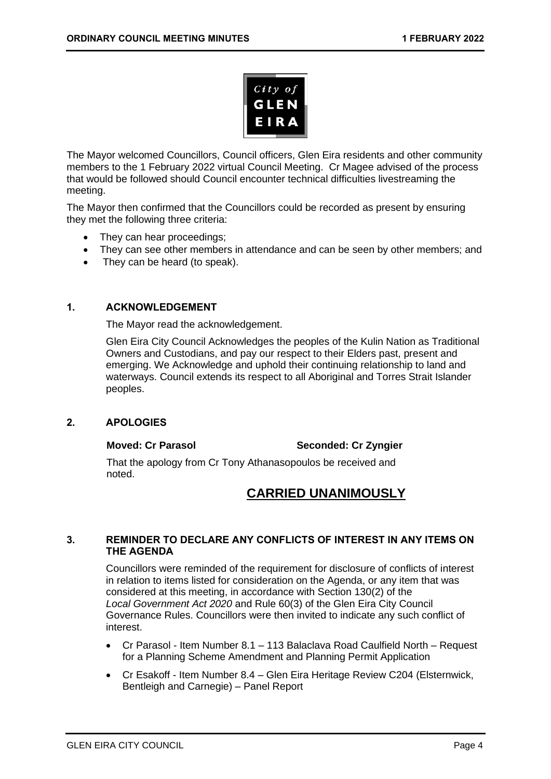

The Mayor welcomed Councillors, Council officers, Glen Eira residents and other community members to the 1 February 2022 virtual Council Meeting. Cr Magee advised of the process that would be followed should Council encounter technical difficulties livestreaming the meeting.

The Mayor then confirmed that the Councillors could be recorded as present by ensuring they met the following three criteria:

- They can hear proceedings;
- They can see other members in attendance and can be seen by other members; and
- <span id="page-3-0"></span>They can be heard (to speak).

#### **1. ACKNOWLEDGEMENT**

The Mayor read the acknowledgement.

Glen Eira City Council Acknowledges the peoples of the Kulin Nation as Traditional Owners and Custodians, and pay our respect to their Elders past, present and emerging. We Acknowledge and uphold their continuing relationship to land and waterways. Council extends its respect to all Aboriginal and Torres Strait Islander peoples.

#### <span id="page-3-1"></span>**2. APOLOGIES**

#### **Moved: Cr Parasol Seconded: Cr Zyngier**

That the apology from Cr Tony Athanasopoulos be received and noted.

# **CARRIED UNANIMOUSLY**

#### <span id="page-3-2"></span>**3. REMINDER TO DECLARE ANY CONFLICTS OF INTEREST IN ANY ITEMS ON THE AGENDA**

Councillors were reminded of the requirement for disclosure of conflicts of interest in relation to items listed for consideration on the Agenda, or any item that was considered at this meeting, in accordance with Section 130(2) of the *Local Government Act 2020* and Rule 60(3) of the Glen Eira City Council Governance Rules. Councillors were then invited to indicate any such conflict of interest.

- Cr Parasol Item Number 8.1 113 Balaclava Road Caulfield North Request for a Planning Scheme Amendment and Planning Permit Application
- Cr Esakoff Item Number 8.4 Glen Eira Heritage Review C204 (Elsternwick, Bentleigh and Carnegie) – Panel Report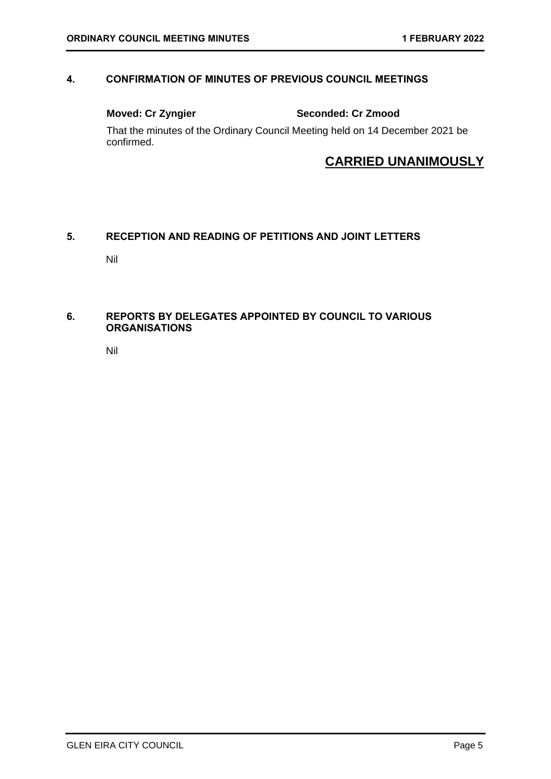### <span id="page-4-0"></span>**4. CONFIRMATION OF MINUTES OF PREVIOUS COUNCIL MEETINGS**

**Moved: Cr Zyngier Seconded: Cr Zmood**

That the minutes of the Ordinary Council Meeting held on 14 December 2021 be confirmed.

# **CARRIED UNANIMOUSLY**

### <span id="page-4-2"></span><span id="page-4-1"></span>**5. RECEPTION AND READING OF PETITIONS AND JOINT LETTERS**

Nil

### <span id="page-4-4"></span><span id="page-4-3"></span>**6. REPORTS BY DELEGATES APPOINTED BY COUNCIL TO VARIOUS ORGANISATIONS**

Nil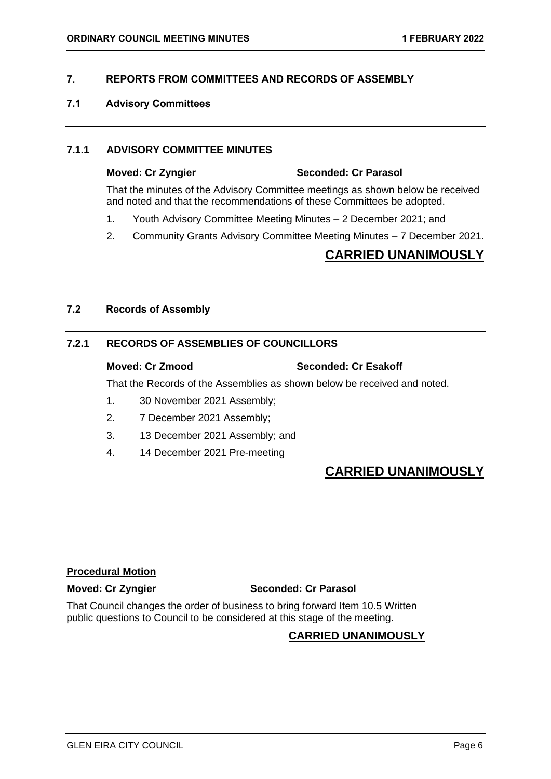### <span id="page-5-2"></span><span id="page-5-0"></span>**7. REPORTS FROM COMMITTEES AND RECORDS OF ASSEMBLY**

### <span id="page-5-1"></span>**7.1 Advisory Committees**

#### **7.1.1 ADVISORY COMMITTEE MINUTES**

# **Moved: Cr Zyngier Seconded: Cr Parasol**

That the minutes of the Advisory Committee meetings as shown below be received and noted and that the recommendations of these Committees be adopted.

- 1. Youth Advisory Committee Meeting Minutes 2 December 2021; and
- 2. Community Grants Advisory Committee Meeting Minutes 7 December 2021.

# **CARRIED UNANIMOUSLY**

### <span id="page-5-3"></span>**7.2 Records of Assembly**

### **7.2.1 RECORDS OF ASSEMBLIES OF COUNCILLORS**

#### **Moved: Cr Zmood Seconded: Cr Esakoff**

That the Records of the Assemblies as shown below be received and noted.

- 1. 30 November 2021 Assembly;
- 2. 7 December 2021 Assembly;
- 3. 13 December 2021 Assembly; and
- 4. 14 December 2021 Pre-meeting

# **CARRIED UNANIMOUSLY**

#### **Procedural Motion**

#### **Moved: Cr Zyngier Seconded: Cr Parasol**

That Council changes the order of business to bring forward Item 10.5 Written public questions to Council to be considered at this stage of the meeting.

### **CARRIED UNANIMOUSLY**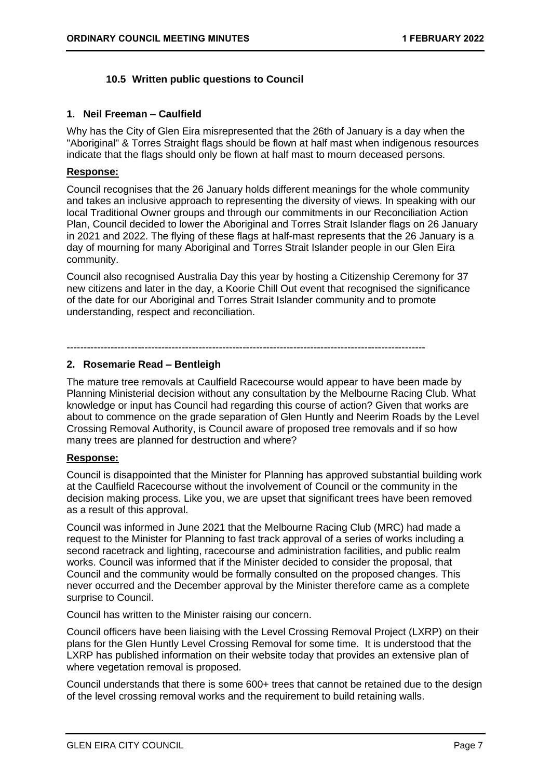### **10.5 Written public questions to Council**

#### <span id="page-6-0"></span>**1. Neil Freeman – Caulfield**

Why has the City of Glen Eira misrepresented that the 26th of January is a day when the "Aboriginal" & Torres Straight flags should be flown at half mast when indigenous resources indicate that the flags should only be flown at half mast to mourn deceased persons.

#### **Response:**

Council recognises that the 26 January holds different meanings for the whole community and takes an inclusive approach to representing the diversity of views. In speaking with our local Traditional Owner groups and through our commitments in our Reconciliation Action Plan, Council decided to lower the Aboriginal and Torres Strait Islander flags on 26 January in 2021 and 2022. The flying of these flags at half-mast represents that the 26 January is a day of mourning for many Aboriginal and Torres Strait Islander people in our Glen Eira community.

Council also recognised Australia Day this year by hosting a Citizenship Ceremony for 37 new citizens and later in the day, a Koorie Chill Out event that recognised the significance of the date for our Aboriginal and Torres Strait Islander community and to promote understanding, respect and reconciliation.

----------------------------------------------------------------------------------------------------------

#### **2. Rosemarie Read – Bentleigh**

The mature tree removals at Caulfield Racecourse would appear to have been made by Planning Ministerial decision without any consultation by the Melbourne Racing Club. What knowledge or input has Council had regarding this course of action? Given that works are about to commence on the grade separation of Glen Huntly and Neerim Roads by the Level Crossing Removal Authority, is Council aware of proposed tree removals and if so how many trees are planned for destruction and where?

#### **Response:**

Council is disappointed that the Minister for Planning has approved substantial building work at the Caulfield Racecourse without the involvement of Council or the community in the decision making process. Like you, we are upset that significant trees have been removed as a result of this approval.

Council was informed in June 2021 that the Melbourne Racing Club (MRC) had made a request to the Minister for Planning to fast track approval of a series of works including a second racetrack and lighting, racecourse and administration facilities, and public realm works. Council was informed that if the Minister decided to consider the proposal, that Council and the community would be formally consulted on the proposed changes. This never occurred and the December approval by the Minister therefore came as a complete surprise to Council.

Council has written to the Minister raising our concern.

Council officers have been liaising with the Level Crossing Removal Project (LXRP) on their plans for the Glen Huntly Level Crossing Removal for some time. It is understood that the LXRP has published information on their website today that provides an extensive plan of where vegetation removal is proposed.

Council understands that there is some 600+ trees that cannot be retained due to the design of the level crossing removal works and the requirement to build retaining walls.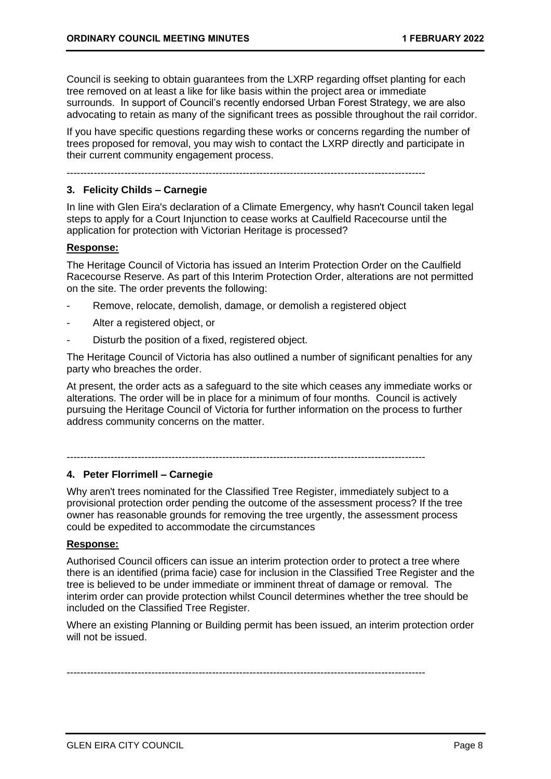Council is seeking to obtain guarantees from the LXRP regarding offset planting for each tree removed on at least a like for like basis within the project area or immediate surrounds. In support of Council's recently endorsed Urban Forest Strategy, we are also advocating to retain as many of the significant trees as possible throughout the rail corridor.

If you have specific questions regarding these works or concerns regarding the number of trees proposed for removal, you may wish to contact the LXRP directly and participate in their current community engagement process.

----------------------------------------------------------------------------------------------------------

#### **3. Felicity Childs – Carnegie**

In line with Glen Eira's declaration of a Climate Emergency, why hasn't Council taken legal steps to apply for a Court Injunction to cease works at Caulfield Racecourse until the application for protection with Victorian Heritage is processed?

#### **Response:**

The Heritage Council of Victoria has issued an Interim Protection Order on the Caulfield Racecourse Reserve. As part of this Interim Protection Order, alterations are not permitted on the site. The order prevents the following:

- Remove, relocate, demolish, damage, or demolish a registered object
- Alter a registered object, or
- Disturb the position of a fixed, registered object.

The Heritage Council of Victoria has also outlined a number of significant penalties for any party who breaches the order.

At present, the order acts as a safeguard to the site which ceases any immediate works or alterations. The order will be in place for a minimum of four months. Council is actively pursuing the Heritage Council of Victoria for further information on the process to further address community concerns on the matter.

----------------------------------------------------------------------------------------------------------

#### **4. Peter Florrimell – Carnegie**

Why aren't trees nominated for the Classified Tree Register, immediately subject to a provisional protection order pending the outcome of the assessment process? If the tree owner has reasonable grounds for removing the tree urgently, the assessment process could be expedited to accommodate the circumstances

#### **Response:**

Authorised Council officers can issue an interim protection order to protect a tree where there is an identified (prima facie) case for inclusion in the Classified Tree Register and the tree is believed to be under immediate or imminent threat of damage or removal. The interim order can provide protection whilst Council determines whether the tree should be included on the Classified Tree Register.

Where an existing Planning or Building permit has been issued, an interim protection order will not be issued.

----------------------------------------------------------------------------------------------------------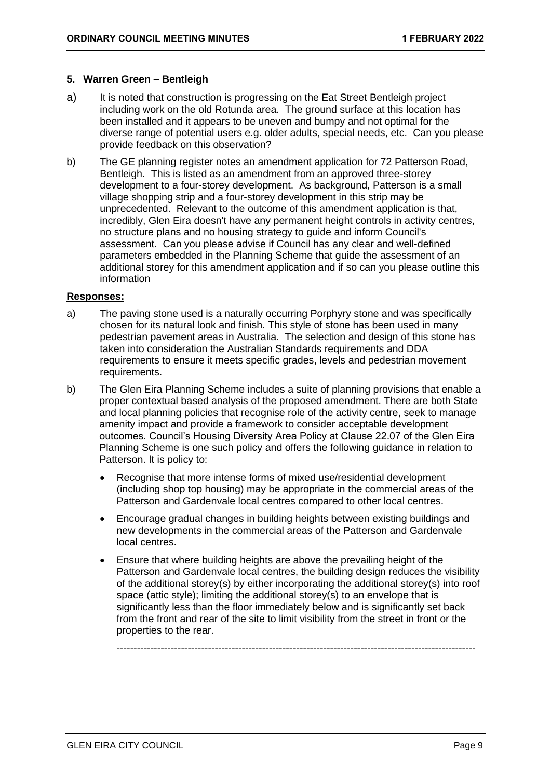#### **5. Warren Green – Bentleigh**

- a) It is noted that construction is progressing on the Eat Street Bentleigh project including work on the old Rotunda area. The ground surface at this location has been installed and it appears to be uneven and bumpy and not optimal for the diverse range of potential users e.g. older adults, special needs, etc. Can you please provide feedback on this observation?
- b) The GE planning register notes an amendment application for 72 Patterson Road, Bentleigh. This is listed as an amendment from an approved three-storey development to a four-storey development. As background, Patterson is a small village shopping strip and a four-storey development in this strip may be unprecedented. Relevant to the outcome of this amendment application is that, incredibly, Glen Eira doesn't have any permanent height controls in activity centres, no structure plans and no housing strategy to guide and inform Council's assessment. Can you please advise if Council has any clear and well-defined parameters embedded in the Planning Scheme that guide the assessment of an additional storey for this amendment application and if so can you please outline this information

#### **Responses:**

- a) The paving stone used is a naturally occurring Porphyry stone and was specifically chosen for its natural look and finish. This style of stone has been used in many pedestrian pavement areas in Australia. The selection and design of this stone has taken into consideration the Australian Standards requirements and DDA requirements to ensure it meets specific grades, levels and pedestrian movement requirements.
- b) The Glen Eira Planning Scheme includes a suite of planning provisions that enable a proper contextual based analysis of the proposed amendment. There are both State and local planning policies that recognise role of the activity centre, seek to manage amenity impact and provide a framework to consider acceptable development outcomes. Council's Housing Diversity Area Policy at Clause 22.07 of the Glen Eira Planning Scheme is one such policy and offers the following guidance in relation to Patterson. It is policy to:
	- Recognise that more intense forms of mixed use/residential development (including shop top housing) may be appropriate in the commercial areas of the Patterson and Gardenvale local centres compared to other local centres.
	- Encourage gradual changes in building heights between existing buildings and new developments in the commercial areas of the Patterson and Gardenvale local centres.
	- Ensure that where building heights are above the prevailing height of the Patterson and Gardenvale local centres, the building design reduces the visibility of the additional storey(s) by either incorporating the additional storey(s) into roof space (attic style); limiting the additional storey(s) to an envelope that is significantly less than the floor immediately below and is significantly set back from the front and rear of the site to limit visibility from the street in front or the properties to the rear.

----------------------------------------------------------------------------------------------------------

GLEN EIRA CITY COUNCIL CHARGES AND THE SERVICE OF THE STATE OF THE PAGE 9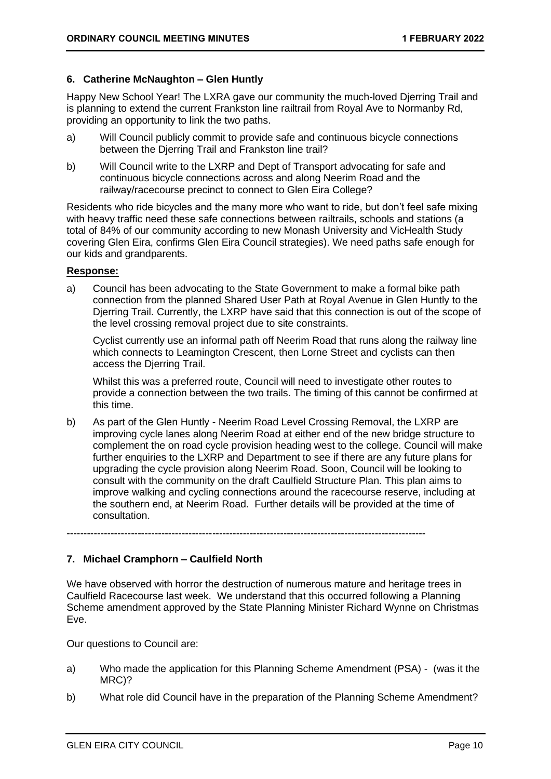#### **6. Catherine McNaughton – Glen Huntly**

Happy New School Year! The LXRA gave our community the much-loved Djerring Trail and is planning to extend the current Frankston line railtrail from Royal Ave to Normanby Rd, providing an opportunity to link the two paths.

- a) Will Council publicly commit to provide safe and continuous bicycle connections between the Djerring Trail and Frankston line trail?
- b) Will Council write to the LXRP and Dept of Transport advocating for safe and continuous bicycle connections across and along Neerim Road and the railway/racecourse precinct to connect to Glen Eira College?

Residents who ride bicycles and the many more who want to ride, but don't feel safe mixing with heavy traffic need these safe connections between railtrails, schools and stations (a total of 84% of our community according to new Monash University and VicHealth Study covering Glen Eira, confirms Glen Eira Council strategies). We need paths safe enough for our kids and grandparents.

#### **Response:**

a) Council has been advocating to the State Government to make a formal bike path connection from the planned Shared User Path at Royal Avenue in Glen Huntly to the Djerring Trail. Currently, the LXRP have said that this connection is out of the scope of the level crossing removal project due to site constraints.

Cyclist currently use an informal path off Neerim Road that runs along the railway line which connects to Leamington Crescent, then Lorne Street and cyclists can then access the Djerring Trail.

Whilst this was a preferred route, Council will need to investigate other routes to provide a connection between the two trails. The timing of this cannot be confirmed at this time.

b) As part of the Glen Huntly - Neerim Road Level Crossing Removal, the LXRP are improving cycle lanes along Neerim Road at either end of the new bridge structure to complement the on road cycle provision heading west to the college. Council will make further enquiries to the LXRP and Department to see if there are any future plans for upgrading the cycle provision along Neerim Road. Soon, Council will be looking to consult with the community on the draft Caulfield Structure Plan. This plan aims to improve walking and cycling connections around the racecourse reserve, including at the southern end, at Neerim Road. Further details will be provided at the time of consultation.

----------------------------------------------------------------------------------------------------------

#### **7. Michael Cramphorn – Caulfield North**

We have observed with horror the destruction of numerous mature and heritage trees in Caulfield Racecourse last week. We understand that this occurred following a Planning Scheme amendment approved by the State Planning Minister Richard Wynne on Christmas Eve.

Our questions to Council are:

- a) Who made the application for this Planning Scheme Amendment (PSA) (was it the MRC)?
- b) What role did Council have in the preparation of the Planning Scheme Amendment?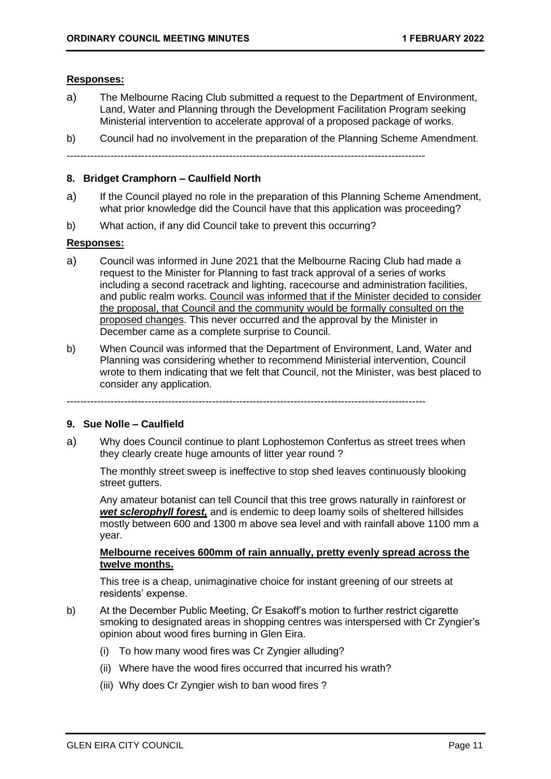#### **Responses:**

- a) The Melbourne Racing Club submitted a request to the Department of Environment, Land, Water and Planning through the Development Facilitation Program seeking Ministerial intervention to accelerate approval of a proposed package of works.
- b) Council had no involvement in the preparation of the Planning Scheme Amendment.

----------------------------------------------------------------------------------------------------------

#### **8. Bridget Cramphorn – Caulfield North**

- a) If the Council played no role in the preparation of this Planning Scheme Amendment, what prior knowledge did the Council have that this application was proceeding?
- b) What action, if any did Council take to prevent this occurring?

#### **Responses:**

- a) Council was informed in June 2021 that the Melbourne Racing Club had made a request to the Minister for Planning to fast track approval of a series of works including a second racetrack and lighting, racecourse and administration facilities, and public realm works. Council was informed that if the Minister decided to consider the proposal, that Council and the community would be formally consulted on the proposed changes. This never occurred and the approval by the Minister in December came as a complete surprise to Council.
- b) When Council was informed that the Department of Environment, Land, Water and Planning was considering whether to recommend Ministerial intervention, Council wrote to them indicating that we felt that Council, not the Minister, was best placed to consider any application.

----------------------------------------------------------------------------------------------------------

#### **9. Sue Nolle – Caulfield**

a) Why does Council continue to plant Lophostemon Confertus as street trees when they clearly create huge amounts of litter year round ?

The monthly street sweep is ineffective to stop shed leaves continuously blooking street gutters.

Any amateur botanist can tell Council that this tree grows naturally in rainforest or *wet sclerophyll forest,* and is endemic to deep loamy soils of sheltered hillsides mostly between 600 and 1300 m above sea level and with rainfall above 1100 mm a year.

#### **Melbourne receives 600mm of rain annually, pretty evenly spread across the twelve months.**

This tree is a cheap, unimaginative choice for instant greening of our streets at residents' expense.

- b) At the December Public Meeting, Cr Esakoff's motion to further restrict cigarette smoking to designated areas in shopping centres was interspersed with Cr Zyngier's opinion about wood fires burning in Glen Eira.
	- (i) To how many wood fires was Cr Zyngier alluding?
	- (ii) Where have the wood fires occurred that incurred his wrath?
	- (iii) Why does Cr Zyngier wish to ban wood fires ?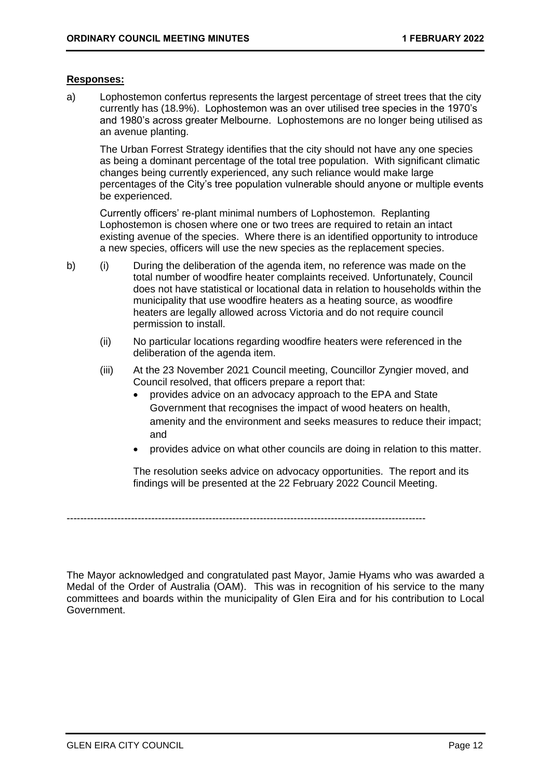#### **Responses:**

a) Lophostemon confertus represents the largest percentage of street trees that the city currently has (18.9%). Lophostemon was an over utilised tree species in the 1970's and 1980's across greater Melbourne. Lophostemons are no longer being utilised as an avenue planting.

The Urban Forrest Strategy identifies that the city should not have any one species as being a dominant percentage of the total tree population. With significant climatic changes being currently experienced, any such reliance would make large percentages of the City's tree population vulnerable should anyone or multiple events be experienced.

Currently officers' re-plant minimal numbers of Lophostemon. Replanting Lophostemon is chosen where one or two trees are required to retain an intact existing avenue of the species. Where there is an identified opportunity to introduce a new species, officers will use the new species as the replacement species.

- b) (i) During the deliberation of the agenda item, no reference was made on the total number of woodfire heater complaints received. Unfortunately, Council does not have statistical or locational data in relation to households within the municipality that use woodfire heaters as a heating source, as woodfire heaters are legally allowed across Victoria and do not require council permission to install.
	- (ii) No particular locations regarding woodfire heaters were referenced in the deliberation of the agenda item.
	- (iii) At the 23 November 2021 Council meeting, Councillor Zyngier moved, and Council resolved, that officers prepare a report that:
		- provides advice on an advocacy approach to the EPA and State Government that recognises the impact of wood heaters on health, amenity and the environment and seeks measures to reduce their impact; and
		- provides advice on what other councils are doing in relation to this matter.

The resolution seeks advice on advocacy opportunities. The report and its findings will be presented at the 22 February 2022 Council Meeting.

----------------------------------------------------------------------------------------------------------

The Mayor acknowledged and congratulated past Mayor, Jamie Hyams who was awarded a Medal of the Order of Australia (OAM). This was in recognition of his service to the many committees and boards within the municipality of Glen Eira and for his contribution to Local Government.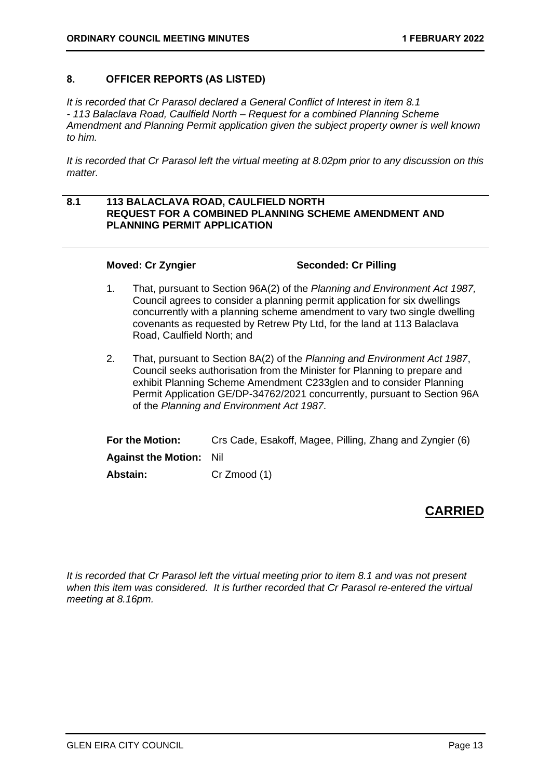#### <span id="page-12-1"></span><span id="page-12-0"></span>**8. OFFICER REPORTS (AS LISTED)**

*It is recorded that Cr Parasol declared a General Conflict of Interest in item 8.1 - 113 Balaclava Road, Caulfield North – Request for a combined Planning Scheme Amendment and Planning Permit application given the subject property owner is well known to him.*

*It is recorded that Cr Parasol left the virtual meeting at 8.02pm prior to any discussion on this matter.*

#### **8.1 113 BALACLAVA ROAD, CAULFIELD NORTH REQUEST FOR A COMBINED PLANNING SCHEME AMENDMENT AND PLANNING PERMIT APPLICATION**

**Moved: Cr Zyngier Seconded: Cr Pilling**

- 1. That, pursuant to Section 96A(2) of the *Planning and Environment Act 1987,*  Council agrees to consider a planning permit application for six dwellings concurrently with a planning scheme amendment to vary two single dwelling covenants as requested by Retrew Pty Ltd, for the land at 113 Balaclava Road, Caulfield North; and
- 2. That, pursuant to Section 8A(2) of the *Planning and Environment Act 1987*, Council seeks authorisation from the Minister for Planning to prepare and exhibit Planning Scheme Amendment C233glen and to consider Planning Permit Application GE/DP-34762/2021 concurrently, pursuant to Section 96A of the *Planning and Environment Act 1987*.

| For the Motion:                | Crs Cade, Esakoff, Magee, Pilling, Zhang and Zyngier (6) |
|--------------------------------|----------------------------------------------------------|
| <b>Against the Motion: Nil</b> |                                                          |
| Abstain:                       | Cr Zmood (1)                                             |

# **CARRIED**

*It is recorded that Cr Parasol left the virtual meeting prior to item 8.1 and was not present when this item was considered. It is further recorded that Cr Parasol re-entered the virtual meeting at 8.16pm.*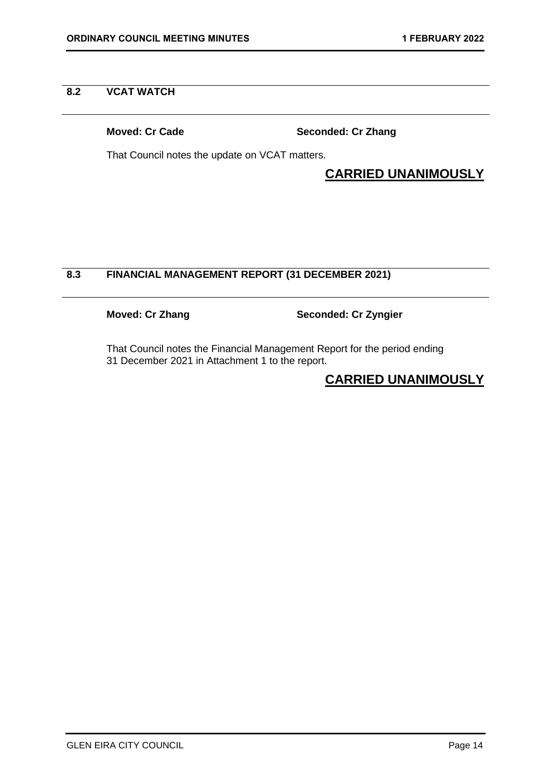#### <span id="page-13-0"></span>**8.2 VCAT WATCH**

**Moved: Cr Cade Seconded: Cr Zhang**

That Council notes the update on VCAT matters.

# **CARRIED UNANIMOUSLY**

## **8.3 FINANCIAL MANAGEMENT REPORT (31 DECEMBER 2021)**

**Moved: Cr Zhang Seconded: Cr Zyngier**

That Council notes the Financial Management Report for the period ending 31 December 2021 in Attachment 1 to the report.

# **CARRIED UNANIMOUSLY**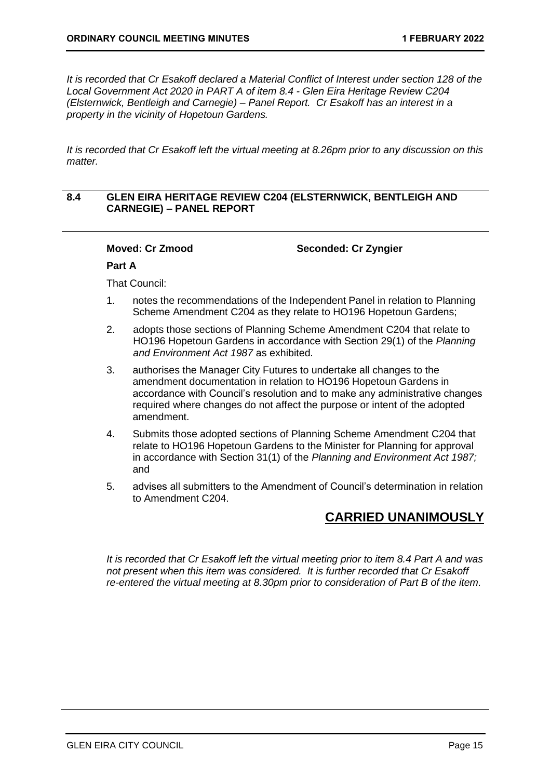<span id="page-14-0"></span>*It is recorded that Cr Esakoff declared a Material Conflict of Interest under section 128 of the Local Government Act 2020 in PART A of item 8.4 - Glen Eira Heritage Review C204 (Elsternwick, Bentleigh and Carnegie) – Panel Report. Cr Esakoff has an interest in a property in the vicinity of Hopetoun Gardens.*

*It is recorded that Cr Esakoff left the virtual meeting at 8.26pm prior to any discussion on this matter.*

#### **8.4 GLEN EIRA HERITAGE REVIEW C204 (ELSTERNWICK, BENTLEIGH AND CARNEGIE) – PANEL REPORT**

**Moved: Cr Zmood Seconded: Cr Zyngier**

#### **Part A**

That Council:

- 1. notes the recommendations of the Independent Panel in relation to Planning Scheme Amendment C204 as they relate to HO196 Hopetoun Gardens;
- 2. adopts those sections of Planning Scheme Amendment C204 that relate to HO196 Hopetoun Gardens in accordance with Section 29(1) of the *Planning and Environment Act 1987* as exhibited.
- 3. authorises the Manager City Futures to undertake all changes to the amendment documentation in relation to HO196 Hopetoun Gardens in accordance with Council's resolution and to make any administrative changes required where changes do not affect the purpose or intent of the adopted amendment.
- 4. Submits those adopted sections of Planning Scheme Amendment C204 that relate to HO196 Hopetoun Gardens to the Minister for Planning for approval in accordance with Section 31(1) of the *Planning and Environment Act 1987;*  and
- 5. advises all submitters to the Amendment of Council's determination in relation to Amendment C204.

## **CARRIED UNANIMOUSLY**

*It is recorded that Cr Esakoff left the virtual meeting prior to item 8.4 Part A and was not present when this item was considered. It is further recorded that Cr Esakoff re-entered the virtual meeting at 8.30pm prior to consideration of Part B of the item.*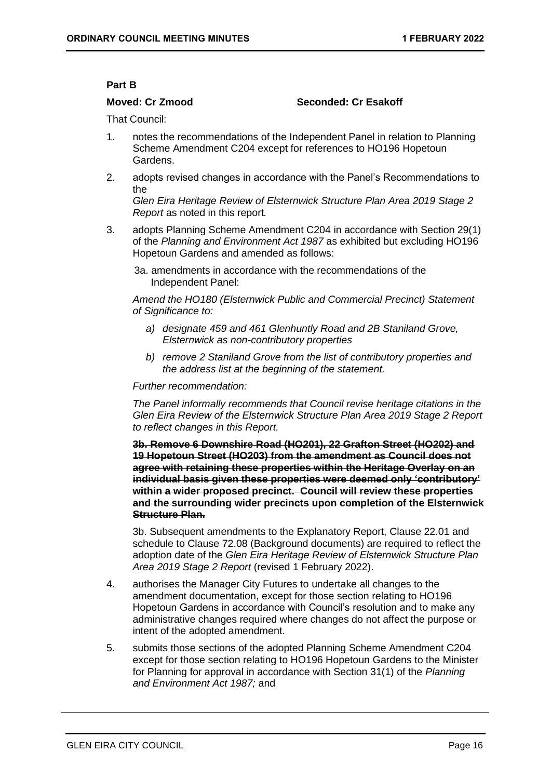#### **Part B**

#### **Moved: Cr Zmood Seconded: Cr Esakoff**

That Council:

- 1. notes the recommendations of the Independent Panel in relation to Planning Scheme Amendment C204 except for references to HO196 Hopetoun Gardens.
- 2. adopts revised changes in accordance with the Panel's Recommendations to the

*Glen Eira Heritage Review of Elsternwick Structure Plan Area 2019 Stage 2 Report* as noted in this report*.*

3. adopts Planning Scheme Amendment C204 in accordance with Section 29(1) of the *Planning and Environment Act 1987* as exhibited but excluding HO196 Hopetoun Gardens and amended as follows:

3a. amendments in accordance with the recommendations of the Independent Panel:

*Amend the HO180 (Elsternwick Public and Commercial Precinct) Statement of Significance to:*

- *a) designate 459 and 461 Glenhuntly Road and 2B Staniland Grove, Elsternwick as non-contributory properties*
- *b) remove 2 Staniland Grove from the list of contributory properties and the address list at the beginning of the statement.*

#### *Further recommendation:*

*The Panel informally recommends that Council revise heritage citations in the Glen Eira Review of the Elsternwick Structure Plan Area 2019 Stage 2 Report to reflect changes in this Report.*

**3b. Remove 6 Downshire Road (HO201), 22 Grafton Street (HO202) and 19 Hopetoun Street (HO203) from the amendment as Council does not agree with retaining these properties within the Heritage Overlay on an individual basis given these properties were deemed only 'contributory' within a wider proposed precinct. Council will review these properties and the surrounding wider precincts upon completion of the Elsternwick Structure Plan.**

3b. Subsequent amendments to the Explanatory Report, Clause 22.01 and schedule to Clause 72.08 (Background documents) are required to reflect the adoption date of the *Glen Eira Heritage Review of Elsternwick Structure Plan Area 2019 Stage 2 Report* (revised 1 February 2022).

- 4. authorises the Manager City Futures to undertake all changes to the amendment documentation, except for those section relating to HO196 Hopetoun Gardens in accordance with Council's resolution and to make any administrative changes required where changes do not affect the purpose or intent of the adopted amendment.
- 5. submits those sections of the adopted Planning Scheme Amendment C204 except for those section relating to HO196 Hopetoun Gardens to the Minister for Planning for approval in accordance with Section 31(1) of the *Planning and Environment Act 1987;* and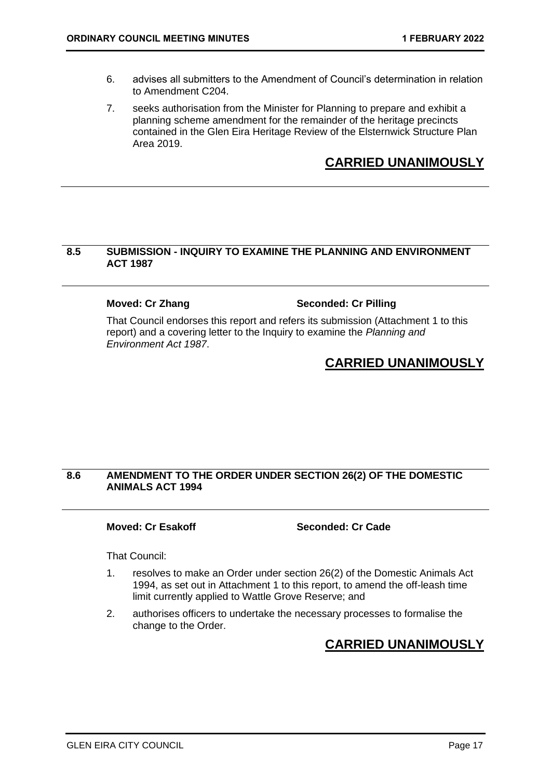- <span id="page-16-0"></span>6. advises all submitters to the Amendment of Council's determination in relation to Amendment C204.
- 7. seeks authorisation from the Minister for Planning to prepare and exhibit a planning scheme amendment for the remainder of the heritage precincts contained in the Glen Eira Heritage Review of the Elsternwick Structure Plan Area 2019.

# **CARRIED UNANIMOUSLY**

#### **8.5 SUBMISSION - INQUIRY TO EXAMINE THE PLANNING AND ENVIRONMENT ACT 1987**

#### **Moved: Cr Zhang Seconded: Cr Pilling**

That Council endorses this report and refers its submission (Attachment 1 to this report) and a covering letter to the Inquiry to examine the *Planning and Environment Act 1987*.

# **CARRIED UNANIMOUSLY**

### **8.6 AMENDMENT TO THE ORDER UNDER SECTION 26(2) OF THE DOMESTIC ANIMALS ACT 1994**

**Moved: Cr Esakoff Seconded: Cr Cade** 

That Council:

- 1. resolves to make an Order under section 26(2) of the Domestic Animals Act 1994, as set out in Attachment 1 to this report, to amend the off-leash time limit currently applied to Wattle Grove Reserve; and
- 2. authorises officers to undertake the necessary processes to formalise the change to the Order.

# **CARRIED UNANIMOUSLY**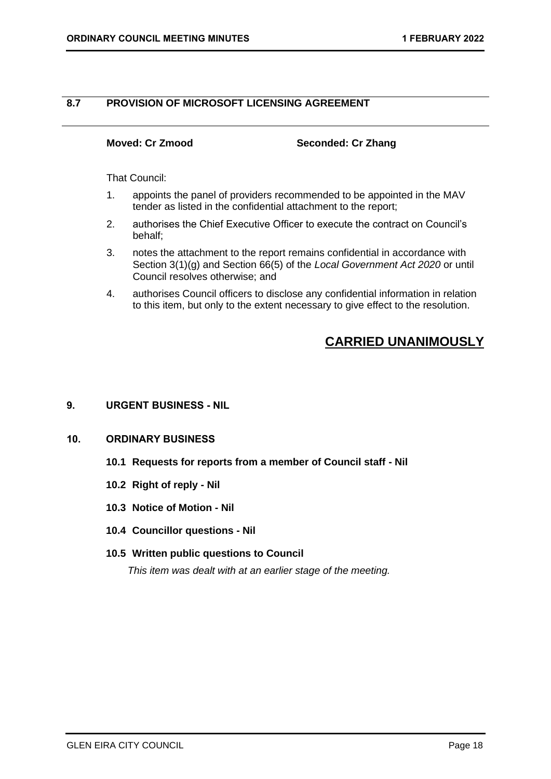### <span id="page-17-0"></span>**8.7 PROVISION OF MICROSOFT LICENSING AGREEMENT**

**Moved: Cr Zmood Seconded: Cr Zhang**

That Council:

- 1. appoints the panel of providers recommended to be appointed in the MAV tender as listed in the confidential attachment to the report;
- 2. authorises the Chief Executive Officer to execute the contract on Council's behalf;
- 3. notes the attachment to the report remains confidential in accordance with Section 3(1)(g) and Section 66(5) of the *Local Government Act 2020* or until Council resolves otherwise; and
- 4. authorises Council officers to disclose any confidential information in relation to this item, but only to the extent necessary to give effect to the resolution.

# **CARRIED UNANIMOUSLY**

#### <span id="page-17-1"></span>**9. URGENT BUSINESS - NIL**

#### <span id="page-17-4"></span><span id="page-17-3"></span><span id="page-17-2"></span>**10. ORDINARY BUSINESS**

- **10.1 Requests for reports from a member of Council staff - Nil**
- **10.2 Right of reply - Nil**
- <span id="page-17-6"></span><span id="page-17-5"></span>**10.3 Notice of Motion - Nil**
- <span id="page-17-7"></span>**10.4 Councillor questions - Nil**

#### **10.5 Written public questions to Council**

*This item was dealt with at an earlier stage of the meeting.*